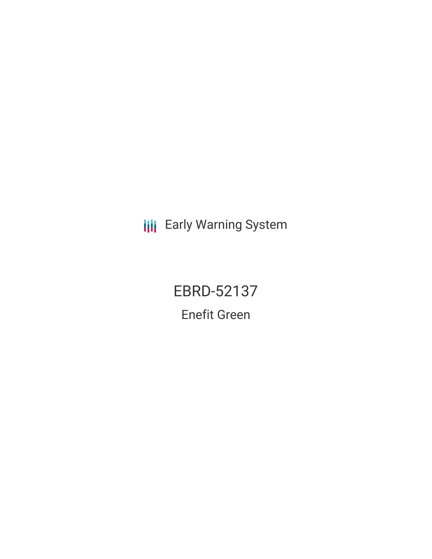**III** Early Warning System

EBRD-52137 Enefit Green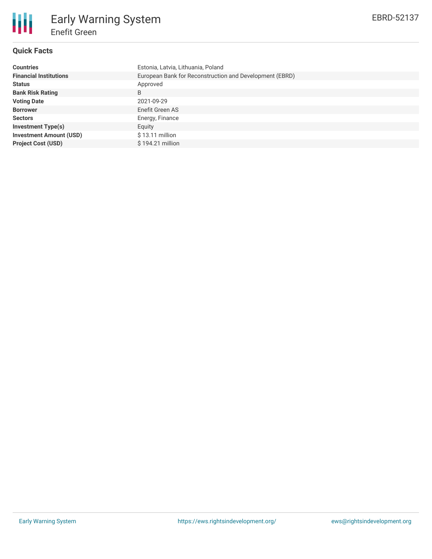# **Quick Facts**

冊

| <b>Countries</b>               | Estonia, Latvia, Lithuania, Poland                      |  |  |  |  |
|--------------------------------|---------------------------------------------------------|--|--|--|--|
| <b>Financial Institutions</b>  | European Bank for Reconstruction and Development (EBRD) |  |  |  |  |
| <b>Status</b>                  | Approved                                                |  |  |  |  |
| <b>Bank Risk Rating</b>        | B                                                       |  |  |  |  |
| <b>Voting Date</b>             | 2021-09-29                                              |  |  |  |  |
| <b>Borrower</b>                | Enefit Green AS                                         |  |  |  |  |
| <b>Sectors</b>                 | Energy, Finance                                         |  |  |  |  |
| <b>Investment Type(s)</b>      | Equity                                                  |  |  |  |  |
| <b>Investment Amount (USD)</b> | \$13.11 million                                         |  |  |  |  |
| <b>Project Cost (USD)</b>      | \$194.21 million                                        |  |  |  |  |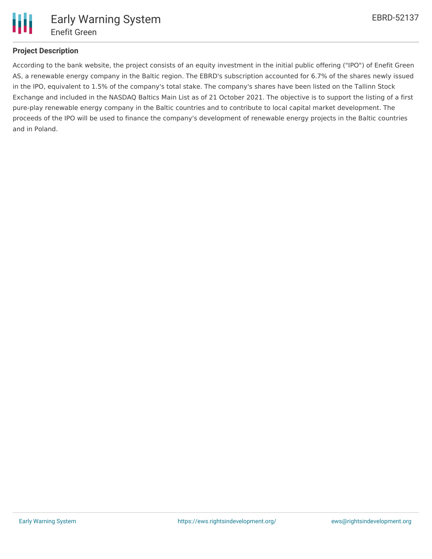

## **Project Description**

According to the bank website, the project consists of an equity investment in the initial public offering ("IPO") of Enefit Green AS, a renewable energy company in the Baltic region. The EBRD's subscription accounted for 6.7% of the shares newly issued in the IPO, equivalent to 1.5% of the company's total stake. The company's shares have been listed on the Tallinn Stock Exchange and included in the NASDAQ Baltics Main List as of 21 October 2021. The objective is to support the listing of a first pure-play renewable energy company in the Baltic countries and to contribute to local capital market development. The proceeds of the IPO will be used to finance the company's development of renewable energy projects in the Baltic countries and in Poland.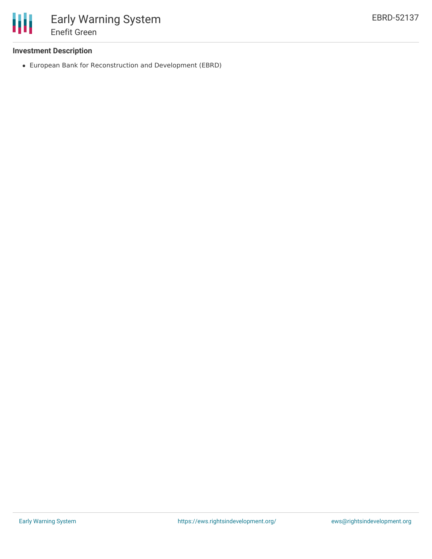

## **Investment Description**

European Bank for Reconstruction and Development (EBRD)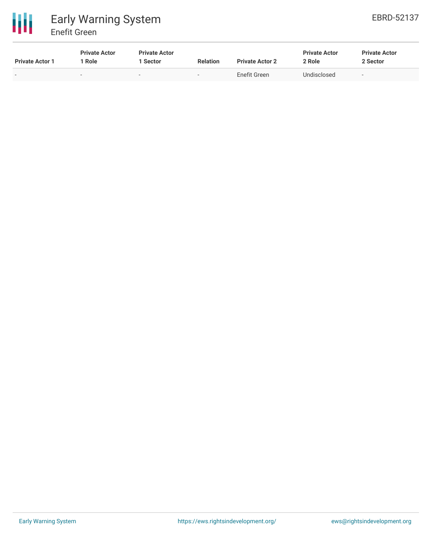

| <b>Private Actor 1</b> | <b>Private Actor</b><br>' Role | <b>Private Actor</b><br>. Sector | <b>Relation</b> | <b>Private Actor 2</b> | <b>Private Actor</b><br>2 Role | <b>Private Actor</b><br>2 Sector |
|------------------------|--------------------------------|----------------------------------|-----------------|------------------------|--------------------------------|----------------------------------|
| $\sim$                 | -                              |                                  | $\sim$          | Enefit Green           | Undisclosed                    | $\overline{\phantom{a}}$         |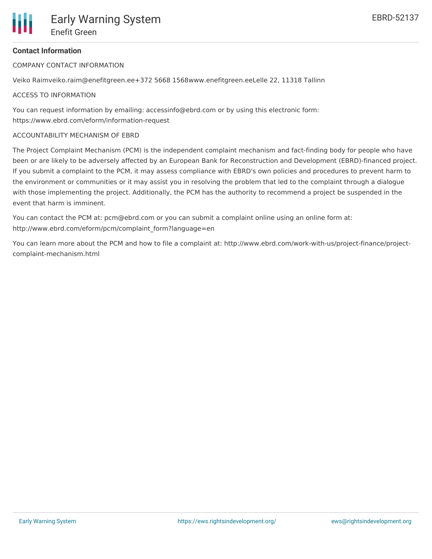COMPANY CONTACT INFORMATION

Veiko Raimveiko.raim@enefitgreen.ee+372 5668 1568www.enefitgreen.eeLelle 22, 11318 Tallinn

#### ACCESS TO INFORMATION

You can request information by emailing: accessinfo@ebrd.com or by using this electronic form: https://www.ebrd.com/eform/information-request

#### ACCOUNTABILITY MECHANISM OF EBRD

The Project Complaint Mechanism (PCM) is the independent complaint mechanism and fact-finding body for people who have been or are likely to be adversely affected by an European Bank for Reconstruction and Development (EBRD)-financed project. If you submit a complaint to the PCM, it may assess compliance with EBRD's own policies and procedures to prevent harm to the environment or communities or it may assist you in resolving the problem that led to the complaint through a dialogue with those implementing the project. Additionally, the PCM has the authority to recommend a project be suspended in the event that harm is imminent.

You can contact the PCM at: pcm@ebrd.com or you can submit a complaint online using an online form at: http://www.ebrd.com/eform/pcm/complaint\_form?language=en

You can learn more about the PCM and how to file a complaint at: http://www.ebrd.com/work-with-us/project-finance/projectcomplaint-mechanism.html